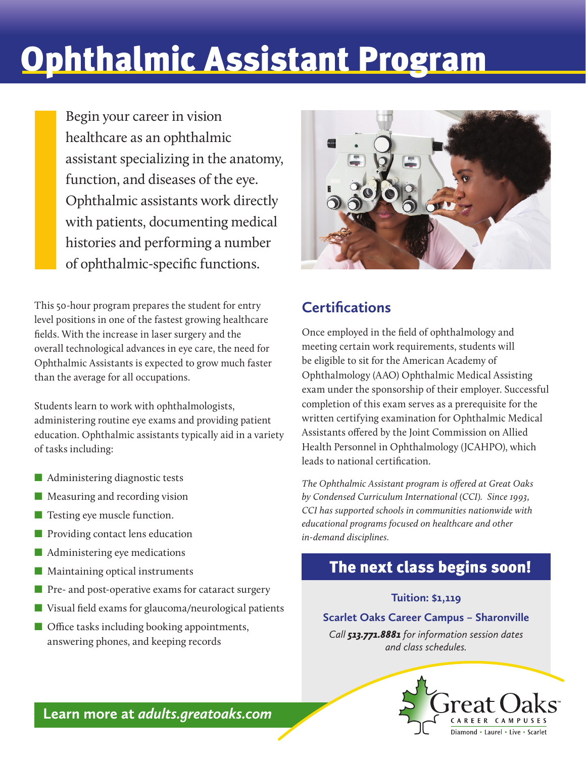## Ophthalmic Assistant Program

Begin your career in vision healthcare as an ophthalmic assistant specializing in the anatomy, function, and diseases of the eye. Ophthalmic assistants work directly with patients, documenting medical histories and performing a number of ophthalmic-specific functions.

This 50-hour program prepares the student for entry level positions in one of the fastest growing healthcare fields. With the increase in laser surgery and the overall technological advances in eye care, the need for Ophthalmic Assistants is expected to grow much faster than the average for all occupations.

Students learn to work with ophthalmologists, administering routine eye exams and providing patient education. Ophthalmic assistants typically aid in a variety of tasks including:

- Administering diagnostic tests
- Measuring and recording vision
- Testing eye muscle function.
- Providing contact lens education
- Administering eye medications
- Maintaining optical instruments
- Pre- and post-operative exams for cataract surgery
- Visual field exams for glaucoma/neurological patients
- Office tasks including booking appointments, answering phones, and keeping records



#### **Certifications**

Once employed in the field of ophthalmology and meeting certain work requirements, students will be eligible to sit for the American Academy of Ophthalmology (AAO) Ophthalmic Medical Assisting exam under the sponsorship of their employer. Successful completion of this exam serves as a prerequisite for the written certifying examination for Ophthalmic Medical Assistants offered by the Joint Commission on Allied Health Personnel in Ophthalmology (JCAHPO), which leads to national certification.

*The Ophthalmic Assistant program is offered at Great Oaks by Condensed Curriculum International (CCI). Since 1993, CCI has supported schools in communities nationwide with educational programs focused on healthcare and other in‑demand disciplines.*

#### The next class begins soon!

#### **Tuition: \$1,119**

**Scarlet Oaks Career Campus – Sharonville**

*Call 513.771.8881 for information session dates and class schedules.* 



**Learn more at** *adults.greatoaks.com*